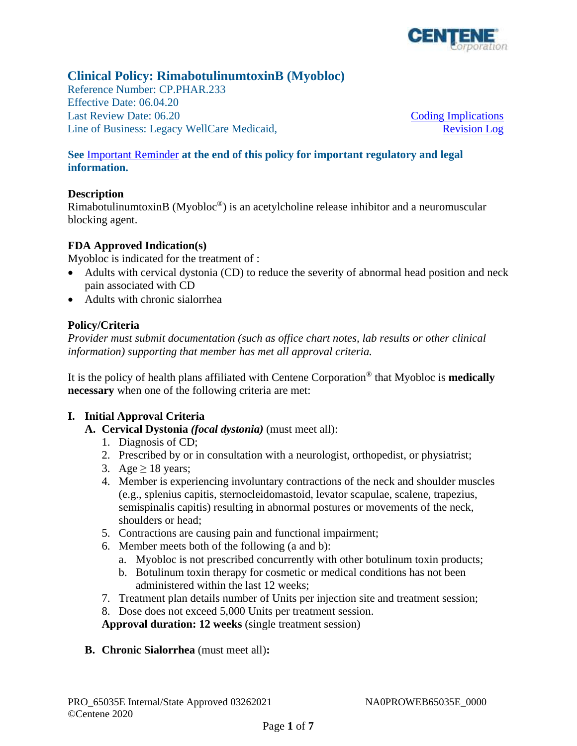

# **Clinical Policy: RimabotulinumtoxinB (Myobloc)**

Reference Number: CP.PHAR.233 Effective Date: 06.04.20 Last Review Date: 06.20 Line of Business: Legacy WellCare Medicaid,

[Coding Implications](#page-3-0)  [Revision Log](#page-4-0) 

## **See** [Important Reminder](#page-4-0) **at the end of this policy for important regulatory and legal information.**

### **Description**

RimabotulinumtoxinB (Myobloc®) is an acetylcholine release inhibitor and a neuromuscular blocking agent.

### **FDA Approved Indication(s)**

Myobloc is indicated for the treatment of :

- Adults with cervical dystonia (CD) to reduce the severity of abnormal head position and neck pain associated with CD
- Adults with chronic sialorrhea

## **Policy/Criteria**

*Provider must submit documentation (such as office chart notes, lab results or other clinical information) supporting that member has met all approval criteria.* 

It is the policy of health plans affiliated with Centene Corporation® that Myobloc is **medically necessary** when one of the following criteria are met:

## **I. Initial Approval Criteria**

- **A. Cervical Dystonia** *(focal dystonia)* (must meet all):
	- 1. Diagnosis of CD;
	- 2. Prescribed by or in consultation with a neurologist, orthopedist, or physiatrist;
	- 3. Age  $\geq$  18 years;
	- 4. Member is experiencing involuntary contractions of the neck and shoulder muscles (e.g., splenius capitis, sternocleidomastoid, levator scapulae, scalene, trapezius, semispinalis capitis) resulting in abnormal postures or movements of the neck, shoulders or head;
	- 5. Contractions are causing pain and functional impairment;
	- 6. Member meets both of the following (a and b):
		- a. Myobloc is not prescribed concurrently with other botulinum toxin products;
		- b. Botulinum toxin therapy for cosmetic or medical conditions has not been administered within the last 12 weeks;
	- 7. Treatment plan details number of Units per injection site and treatment session;
	- 8. Dose does not exceed 5,000 Units per treatment session.

**Approval duration: 12 weeks** (single treatment session)

**B. Chronic Sialorrhea** (must meet all)**:**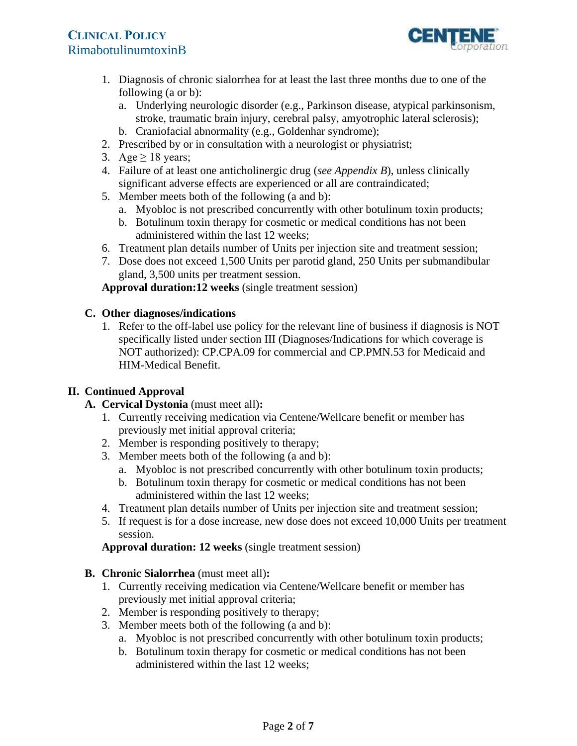

- 1. Diagnosis of chronic sialorrhea for at least the last three months due to one of the following (a or b):
	- a. Underlying neurologic disorder (e.g., Parkinson disease, atypical parkinsonism, stroke, traumatic brain injury, cerebral palsy, amyotrophic lateral sclerosis);
	- b. Craniofacial abnormality (e.g., Goldenhar syndrome);
- 2. Prescribed by or in consultation with a neurologist or physiatrist;
- 3. Age  $\geq$  18 years;
- 4. Failure of at least one anticholinergic drug (*see Appendix B*), unless clinically significant adverse effects are experienced or all are contraindicated;
- 5. Member meets both of the following (a and b):
	- a. Myobloc is not prescribed concurrently with other botulinum toxin products;
	- b. Botulinum toxin therapy for cosmetic or medical conditions has not been administered within the last 12 weeks;
- 6. Treatment plan details number of Units per injection site and treatment session;
- 7. Dose does not exceed 1,500 Units per parotid gland, 250 Units per submandibular gland, 3,500 units per treatment session.

**Approval duration:12 weeks** (single treatment session)

## **C. Other diagnoses/indications**

1. Refer to the off-label use policy for the relevant line of business if diagnosis is NOT specifically listed under section III (Diagnoses/Indications for which coverage is NOT authorized): CP.CPA.09 for commercial and CP.PMN.53 for Medicaid and HIM-Medical Benefit.

## **II. Continued Approval**

- **A. Cervical Dystonia** (must meet all)**:** 
	- 1. Currently receiving medication via Centene/Wellcare benefit or member has previously met initial approval criteria;
	- 2. Member is responding positively to therapy;
	- 3. Member meets both of the following (a and b):
		- a. Myobloc is not prescribed concurrently with other botulinum toxin products;
		- b. Botulinum toxin therapy for cosmetic or medical conditions has not been administered within the last 12 weeks;
	- 4. Treatment plan details number of Units per injection site and treatment session;
	- 5. If request is for a dose increase, new dose does not exceed 10,000 Units per treatment session.

**Approval duration: 12 weeks** (single treatment session)

- **B. Chronic Sialorrhea** (must meet all)**:** 
	- 1. Currently receiving medication via Centene/Wellcare benefit or member has previously met initial approval criteria;
	- 2. Member is responding positively to therapy;
	- 3. Member meets both of the following (a and b):
		- a. Myobloc is not prescribed concurrently with other botulinum toxin products;
		- b. Botulinum toxin therapy for cosmetic or medical conditions has not been administered within the last 12 weeks;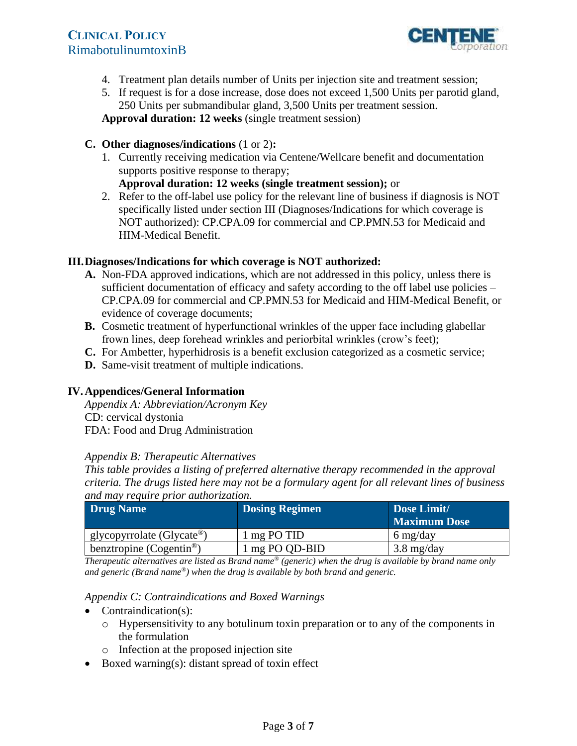

- 4. Treatment plan details number of Units per injection site and treatment session;
- 5. If request is for a dose increase, dose does not exceed 1,500 Units per parotid gland, 250 Units per submandibular gland, 3,500 Units per treatment session.
- **Approval duration: 12 weeks** (single treatment session)

## **C. Other diagnoses/indications** (1 or 2)**:**

 1. Currently receiving medication via Centene/Wellcare benefit and documentation supports positive response to therapy;

**Approval duration: 12 weeks (single treatment session);** or

 2. Refer to the off-label use policy for the relevant line of business if diagnosis is NOT specifically listed under section III (Diagnoses/Indications for which coverage is NOT authorized): CP.CPA.09 for commercial and CP.PMN.53 for Medicaid and HIM-Medical Benefit.

## **III.Diagnoses/Indications for which coverage is NOT authorized:**

- **A.** Non-FDA approved indications, which are not addressed in this policy, unless there is sufficient documentation of efficacy and safety according to the off label use policies – CP.CPA.09 for commercial and CP.PMN.53 for Medicaid and HIM-Medical Benefit, or evidence of coverage documents;
- **B.** Cosmetic treatment of hyperfunctional wrinkles of the upper face including glabellar frown lines, deep forehead wrinkles and periorbital wrinkles (crow's feet);
- **C.** For Ambetter, hyperhidrosis is a benefit exclusion categorized as a cosmetic service;
- **D.** Same-visit treatment of multiple indications.

## **IV. Appendices/General Information**

*Appendix A: Abbreviation/Acronym Key*  CD: cervical dystonia FDA: Food and Drug Administration

#### *Appendix B: Therapeutic Alternatives*

*This table provides a listing of preferred alternative therapy recommended in the approval criteria. The drugs listed here may not be a formulary agent for all relevant lines of business and may require prior authorization.* 

| Drug Name                            | <b>Dosing Regimen</b> | Dose Limit/<br><b>Maximum Dose</b> |
|--------------------------------------|-----------------------|------------------------------------|
| glycopyrrolate (Glycate®)            | 1 mg PO TID           | $6 \frac{\text{mg}}{\text{day}}$   |
| benztropine (Cogentin <sup>®</sup> ) | 1 mg PO QD-BID        | $3.8 \text{ mg/day}$               |

*Therapeutic alternatives are listed as Brand name® (generic) when the drug is available by brand name only and generic (Brand name®) when the drug is available by both brand and generic.* 

#### *Appendix C: Contraindications and Boxed Warnings*

- Contraindication(s):
	- $\circ$  Hypersensitivity to any botulinum toxin preparation or to any of the components in the formulation
	- o Infection at the proposed injection site
- Boxed warning(s): distant spread of toxin effect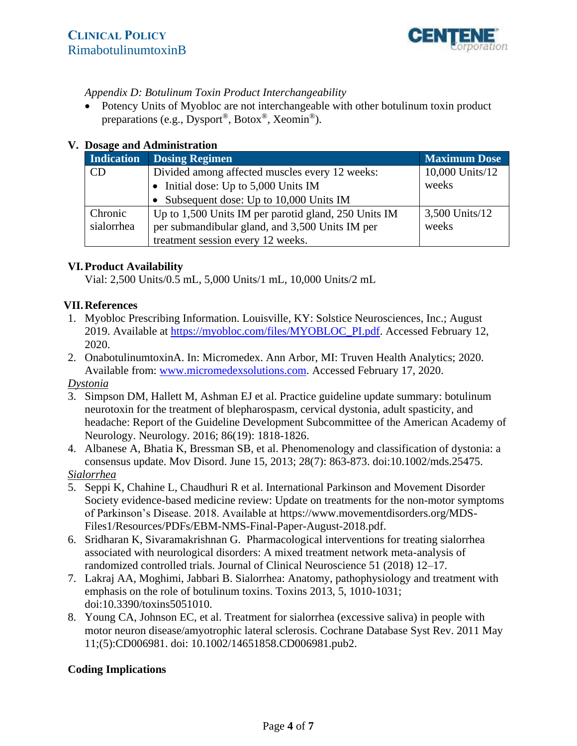

## <span id="page-3-0"></span>*Appendix D: Botulinum Toxin Product Interchangeability*

 Potency Units of Myobloc are not interchangeable with other botulinum toxin product preparations (e.g., Dysport®, Botox®, Xeomin®).

### **V. Dosage and Administration**

| Indication | <b>Dosing Regimen</b>                                | <b>Maximum Dose</b> |
|------------|------------------------------------------------------|---------------------|
| CD         | Divided among affected muscles every 12 weeks:       | 10,000 Units/12     |
|            | Initial dose: Up to 5,000 Units IM                   | weeks               |
|            | • Subsequent dose: Up to 10,000 Units IM             |                     |
| Chronic    | Up to 1,500 Units IM per parotid gland, 250 Units IM | 3,500 Units/12      |
| sialorrhea | per submandibular gland, and 3,500 Units IM per      | weeks               |
|            | treatment session every 12 weeks.                    |                     |

## **VI. Product Availability**

Vial: 2,500 Units/0.5 mL, 5,000 Units/1 mL, 10,000 Units/2 mL

## **VII. References**

- 1. Myobloc Prescribing Information. Louisville, KY: Solstice Neurosciences, Inc.; August 2019. Available at [https://myobloc.com/files/MYOBLOC\\_PI.pdf.](https://myobloc.com/files/MYOBLOC_PI.pdf) Accessed February 12, 2020.
- 2. OnabotulinumtoxinA. In: Micromedex. Ann Arbor, MI: Truven Health Analytics; 2020. Available from: [www.micromedexsolutions.com.](http://www.micromedexsolutions.com) Accessed February 17, 2020.

## *Dystonia*

- 3. Simpson DM, Hallett M, Ashman EJ et al. Practice guideline update summary: botulinum neurotoxin for the treatment of blepharospasm, cervical dystonia, adult spasticity, and headache: Report of the Guideline Development Subcommittee of the American Academy of Neurology. Neurology*.* 2016; 86(19): 1818-1826.
- 4. Albanese A, Bhatia K, Bressman SB, et al. Phenomenology and classification of dystonia: a consensus update. Mov Disord. June 15, 2013; 28(7): 863-873. doi:10.1002/mds.25475. *Sialorrhea*
- 5. Seppi K, Chahine L, Chaudhuri R et al. International Parkinson and Movement Disorder Society evidence-based medicine review: Update on treatments for the non-motor symptoms of Parkinson's Disease. 2018. Available at [https://www.movementdisorders.org/MDS](https://www.movementdisorders.org/MDSFiles1/Resources/PDFs/EBM-NMS-Final-Paper-August-2018.pdf) [Files1/Resources/PDFs/EBM-NMS-Final-Paper-August-2018.pdf.](https://www.movementdisorders.org/MDSFiles1/Resources/PDFs/EBM-NMS-Final-Paper-August-2018.pdf)  1
- 6. Sridharan K, Sivaramakrishnan G. Pharmacological interventions for treating sialorrhea associated with neurological disorders: A mixed treatment network meta-analysis of randomized controlled trials. Journal of Clinical Neuroscience 51 (2018) 12–17.
- 7. Lakraj AA, Moghimi, Jabbari B. Sialorrhea: Anatomy, pathophysiology and treatment with emphasis on the role of botulinum toxins. Toxins 2013, 5, 1010-1031; doi:10.3390/toxins5051010.
- 8. Young CA, Johnson EC, et al. Treatment for sialorrhea (excessive saliva) in people with motor neuron disease/amyotrophic lateral sclerosis. Cochrane Database Syst Rev. 2011 May 11;(5):CD006981. doi: 10.1002/14651858.CD006981.pub2.

## **Coding Implications**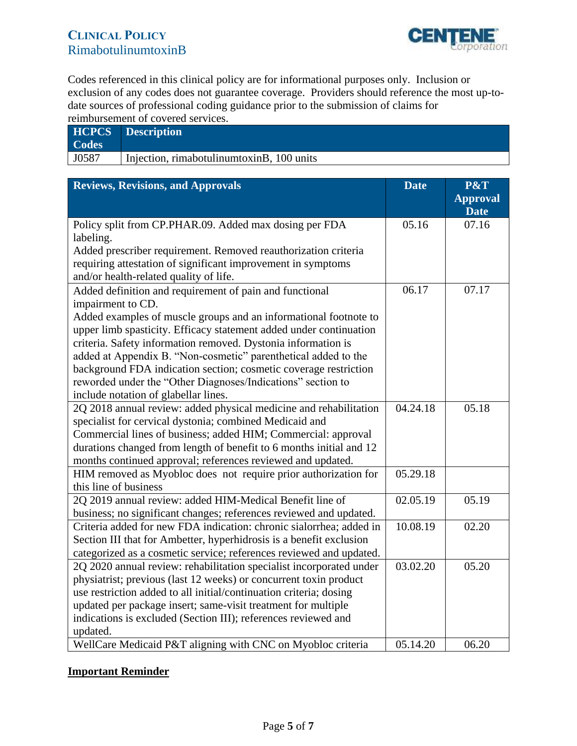

<span id="page-4-0"></span>Codes referenced in this clinical policy are for informational purposes only. Inclusion or exclusion of any codes does not guarantee coverage. Providers should reference the most up-todate sources of professional coding guidance prior to the submission of claims for reimbursement of covered services.

| <b>Codes</b> | <b>HCPCS</b> Description                    |
|--------------|---------------------------------------------|
| J0587        | Injection, rimabotulinum toxin B, 100 units |

| <b>Reviews, Revisions, and Approvals</b>                            | <b>Date</b> | P&T             |
|---------------------------------------------------------------------|-------------|-----------------|
|                                                                     |             | <b>Approval</b> |
|                                                                     |             | <b>Date</b>     |
| Policy split from CP.PHAR.09. Added max dosing per FDA              | 05.16       | 07.16           |
| labeling.                                                           |             |                 |
| Added prescriber requirement. Removed reauthorization criteria      |             |                 |
| requiring attestation of significant improvement in symptoms        |             |                 |
| and/or health-related quality of life.                              |             |                 |
| Added definition and requirement of pain and functional             | 06.17       | 07.17           |
| impairment to CD.                                                   |             |                 |
| Added examples of muscle groups and an informational footnote to    |             |                 |
| upper limb spasticity. Efficacy statement added under continuation  |             |                 |
| criteria. Safety information removed. Dystonia information is       |             |                 |
| added at Appendix B. "Non-cosmetic" parenthetical added to the      |             |                 |
| background FDA indication section; cosmetic coverage restriction    |             |                 |
| reworded under the "Other Diagnoses/Indications" section to         |             |                 |
| include notation of glabellar lines.                                |             |                 |
| 2Q 2018 annual review: added physical medicine and rehabilitation   | 04.24.18    | 05.18           |
| specialist for cervical dystonia; combined Medicaid and             |             |                 |
| Commercial lines of business; added HIM; Commercial: approval       |             |                 |
| durations changed from length of benefit to 6 months initial and 12 |             |                 |
| months continued approval; references reviewed and updated.         |             |                 |
| HIM removed as Myobloc does not require prior authorization for     | 05.29.18    |                 |
| this line of business                                               |             |                 |
| 2Q 2019 annual review: added HIM-Medical Benefit line of            | 02.05.19    | 05.19           |
| business; no significant changes; references reviewed and updated.  |             |                 |
| Criteria added for new FDA indication: chronic sialorrhea; added in | 10.08.19    | 02.20           |
| Section III that for Ambetter, hyperhidrosis is a benefit exclusion |             |                 |
| categorized as a cosmetic service; references reviewed and updated. |             |                 |
| 2Q 2020 annual review: rehabilitation specialist incorporated under | 03.02.20    | 05.20           |
| physiatrist; previous (last 12 weeks) or concurrent toxin product   |             |                 |
| use restriction added to all initial/continuation criteria; dosing  |             |                 |
| updated per package insert; same-visit treatment for multiple       |             |                 |
| indications is excluded (Section III); references reviewed and      |             |                 |
| updated.                                                            |             |                 |
| WellCare Medicaid P&T aligning with CNC on Myobloc criteria         | 05.14.20    | 06.20           |

### **Important Reminder**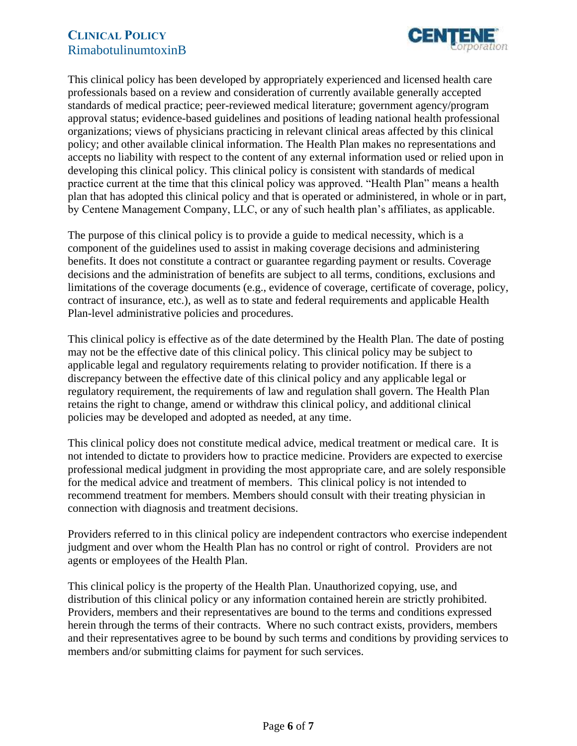

This clinical policy has been developed by appropriately experienced and licensed health care professionals based on a review and consideration of currently available generally accepted standards of medical practice; peer-reviewed medical literature; government agency/program approval status; evidence-based guidelines and positions of leading national health professional organizations; views of physicians practicing in relevant clinical areas affected by this clinical policy; and other available clinical information. The Health Plan makes no representations and accepts no liability with respect to the content of any external information used or relied upon in developing this clinical policy. This clinical policy is consistent with standards of medical practice current at the time that this clinical policy was approved. "Health Plan" means a health plan that has adopted this clinical policy and that is operated or administered, in whole or in part, by Centene Management Company, LLC, or any of such health plan's affiliates, as applicable.

The purpose of this clinical policy is to provide a guide to medical necessity, which is a component of the guidelines used to assist in making coverage decisions and administering benefits. It does not constitute a contract or guarantee regarding payment or results. Coverage decisions and the administration of benefits are subject to all terms, conditions, exclusions and limitations of the coverage documents (e.g., evidence of coverage, certificate of coverage, policy, contract of insurance, etc.), as well as to state and federal requirements and applicable Health Plan-level administrative policies and procedures.

This clinical policy is effective as of the date determined by the Health Plan. The date of posting may not be the effective date of this clinical policy. This clinical policy may be subject to applicable legal and regulatory requirements relating to provider notification. If there is a discrepancy between the effective date of this clinical policy and any applicable legal or regulatory requirement, the requirements of law and regulation shall govern. The Health Plan retains the right to change, amend or withdraw this clinical policy, and additional clinical policies may be developed and adopted as needed, at any time.

This clinical policy does not constitute medical advice, medical treatment or medical care. It is not intended to dictate to providers how to practice medicine. Providers are expected to exercise professional medical judgment in providing the most appropriate care, and are solely responsible for the medical advice and treatment of members. This clinical policy is not intended to recommend treatment for members. Members should consult with their treating physician in connection with diagnosis and treatment decisions.

Providers referred to in this clinical policy are independent contractors who exercise independent judgment and over whom the Health Plan has no control or right of control. Providers are not agents or employees of the Health Plan.

This clinical policy is the property of the Health Plan. Unauthorized copying, use, and distribution of this clinical policy or any information contained herein are strictly prohibited. Providers, members and their representatives are bound to the terms and conditions expressed herein through the terms of their contracts. Where no such contract exists, providers, members and their representatives agree to be bound by such terms and conditions by providing services to members and/or submitting claims for payment for such services.